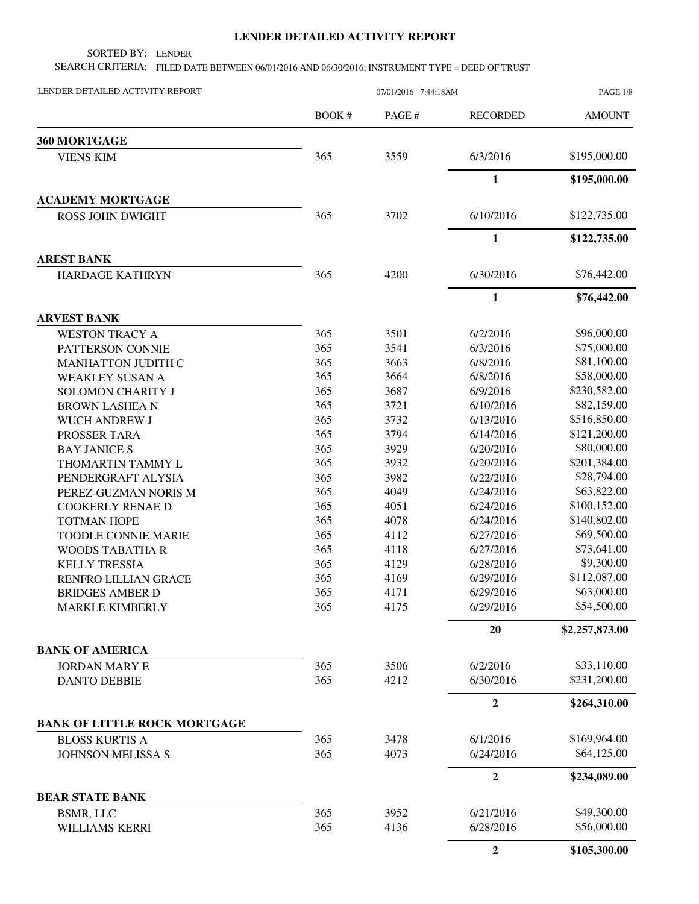## **LENDER DETAILED ACTIVITY REPORT**

SORTED BY: LENDER

SEARCH CRITERIA: FILED DATE BETWEEN 06/01/2016 AND 06/30/2016; INSTRUMENT TYPE = DEED OF TRUST

| LENDER DETAILED ACTIVITY REPORT     | 07/01/2016 7:44:18AM |        |                  | PAGE 1/8       |
|-------------------------------------|----------------------|--------|------------------|----------------|
|                                     | <b>BOOK#</b>         | PAGE # | <b>RECORDED</b>  | <b>AMOUNT</b>  |
| 360 MORTGAGE                        |                      |        |                  |                |
| <b>VIENS KIM</b>                    | 365                  | 3559   | 6/3/2016         | \$195,000.00   |
|                                     |                      |        | $\mathbf{1}$     | \$195,000.00   |
| <b>ACADEMY MORTGAGE</b>             |                      |        |                  |                |
| <b>ROSS JOHN DWIGHT</b>             | 365                  | 3702   | 6/10/2016        | \$122,735.00   |
|                                     |                      |        | $\mathbf{1}$     | \$122,735.00   |
| <b>AREST BANK</b>                   |                      |        |                  |                |
| HARDAGE KATHRYN                     | 365                  | 4200   | 6/30/2016        | \$76,442.00    |
|                                     |                      |        | $\mathbf{1}$     | \$76,442.00    |
| <b>ARVEST BANK</b>                  |                      |        |                  |                |
| <b>WESTON TRACY A</b>               | 365                  | 3501   | 6/2/2016         | \$96,000.00    |
| PATTERSON CONNIE                    | 365                  | 3541   | 6/3/2016         | \$75,000.00    |
| <b>MANHATTON JUDITH C</b>           | 365                  | 3663   | 6/8/2016         | \$81,100.00    |
| <b>WEAKLEY SUSAN A</b>              | 365                  | 3664   | 6/8/2016         | \$58,000.00    |
| <b>SOLOMON CHARITY J</b>            | 365                  | 3687   | 6/9/2016         | \$230,582.00   |
| <b>BROWN LASHEA N</b>               | 365                  | 3721   | 6/10/2016        | \$82,159.00    |
| <b>WUCH ANDREW J</b>                | 365                  | 3732   | 6/13/2016        | \$516,850.00   |
| PROSSER TARA                        | 365                  | 3794   | 6/14/2016        | \$121,200.00   |
| <b>BAY JANICE S</b>                 | 365                  | 3929   | 6/20/2016        | \$80,000.00    |
| THOMARTIN TAMMY L                   | 365                  | 3932   | 6/20/2016        | \$201,384.00   |
| PENDERGRAFT ALYSIA                  | 365                  | 3982   | 6/22/2016        | \$28,794.00    |
| PEREZ-GUZMAN NORIS M                | 365                  | 4049   | 6/24/2016        | \$63,822.00    |
| <b>COOKERLY RENAE D</b>             | 365                  | 4051   | 6/24/2016        | \$100,152.00   |
| <b>TOTMAN HOPE</b>                  | 365                  | 4078   | 6/24/2016        | \$140,802.00   |
| <b>TOODLE CONNIE MARIE</b>          | 365                  | 4112   | 6/27/2016        | \$69,500.00    |
| <b>WOODS TABATHA R</b>              | 365                  | 4118   | 6/27/2016        | \$73,641.00    |
| <b>KELLY TRESSIA</b>                | 365                  | 4129   | 6/28/2016        | \$9,300.00     |
| RENFRO LILLIAN GRACE                | 365                  | 4169   | 6/29/2016        | \$112,087.00   |
| <b>BRIDGES AMBER D</b>              | 365                  | 4171   | 6/29/2016        | \$63,000.00    |
| <b>MARKLE KIMBERLY</b>              | 365                  | 4175   | 6/29/2016        | \$54,500.00    |
|                                     |                      |        | 20               | \$2,257,873.00 |
| <b>BANK OF AMERICA</b>              |                      |        |                  |                |
| <b>JORDAN MARY E</b>                | 365                  | 3506   | 6/2/2016         | \$33,110.00    |
| <b>DANTO DEBBIE</b>                 | 365                  | 4212   | 6/30/2016        | \$231,200.00   |
|                                     |                      |        | $\overline{2}$   | \$264,310.00   |
| <b>BANK OF LITTLE ROCK MORTGAGE</b> |                      |        |                  |                |
| <b>BLOSS KURTIS A</b>               | 365                  | 3478   | 6/1/2016         | \$169,964.00   |
| JOHNSON MELISSA S                   | 365                  | 4073   | 6/24/2016        | \$64,125.00    |
|                                     |                      |        | $\boldsymbol{2}$ | \$234,089.00   |
| <b>BEAR STATE BANK</b>              |                      | 3952   | 6/21/2016        | \$49,300.00    |
| <b>BSMR, LLC</b>                    | 365<br>365           | 4136   | 6/28/2016        | \$56,000.00    |
| WILLIAMS KERRI                      |                      |        |                  |                |
|                                     |                      |        | $\overline{2}$   | \$105,300.00   |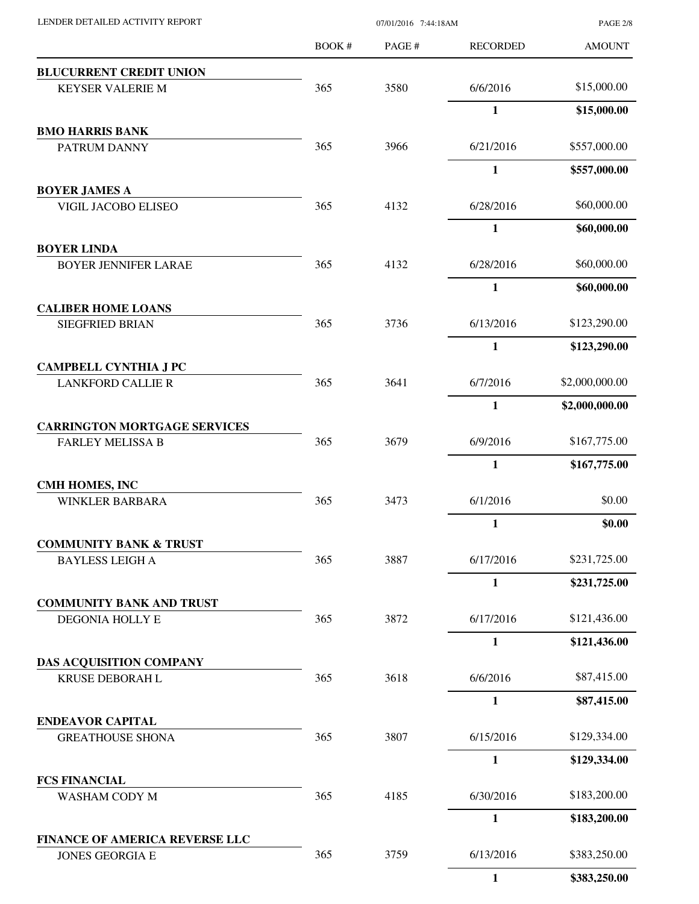| LENDER DETAILED ACTIVITY REPORT                     | 07/01/2016 7:44:18AM |        |                 | <b>PAGE 2/8</b> |
|-----------------------------------------------------|----------------------|--------|-----------------|-----------------|
|                                                     | BOOK #               | PAGE # | <b>RECORDED</b> | <b>AMOUNT</b>   |
| <b>BLUCURRENT CREDIT UNION</b>                      |                      |        |                 |                 |
| <b>KEYSER VALERIE M</b>                             | 365                  | 3580   | 6/6/2016        | \$15,000.00     |
|                                                     |                      |        | $\mathbf{1}$    | \$15,000.00     |
| <b>BMO HARRIS BANK</b>                              |                      |        |                 |                 |
| PATRUM DANNY                                        | 365                  | 3966   | 6/21/2016       | \$557,000.00    |
|                                                     |                      |        | $\mathbf{1}$    | \$557,000.00    |
| <b>BOYER JAMES A</b><br>VIGIL JACOBO ELISEO         | 365                  | 4132   | 6/28/2016       | \$60,000.00     |
|                                                     |                      |        | $\mathbf{1}$    | \$60,000.00     |
| <b>BOYER LINDA</b>                                  |                      |        |                 |                 |
| <b>BOYER JENNIFER LARAE</b>                         | 365                  | 4132   | 6/28/2016       | \$60,000.00     |
|                                                     |                      |        | $\mathbf{1}$    | \$60,000.00     |
| <b>CALIBER HOME LOANS</b><br><b>SIEGFRIED BRIAN</b> | 365                  | 3736   | 6/13/2016       | \$123,290.00    |
|                                                     |                      |        | 1               | \$123,290.00    |
| <b>CAMPBELL CYNTHIA J PC</b>                        |                      |        |                 |                 |
| <b>LANKFORD CALLIE R</b>                            | 365                  | 3641   | 6/7/2016        | \$2,000,000.00  |
|                                                     |                      |        | $\mathbf{1}$    | \$2,000,000.00  |
| <b>CARRINGTON MORTGAGE SERVICES</b>                 |                      |        |                 |                 |
| <b>FARLEY MELISSA B</b>                             | 365                  | 3679   | 6/9/2016        | \$167,775.00    |
|                                                     |                      |        | $\mathbf{1}$    | \$167,775.00    |
| <b>CMH HOMES, INC</b><br><b>WINKLER BARBARA</b>     | 365                  | 3473   | 6/1/2016        | \$0.00          |
|                                                     |                      |        | $\mathbf{1}$    | \$0.00          |
| <b>COMMUNITY BANK &amp; TRUST</b>                   |                      |        |                 |                 |
| <b>BAYLESS LEIGH A</b>                              | 365                  | 3887   | 6/17/2016       | \$231,725.00    |
|                                                     |                      |        | $\mathbf{1}$    | \$231,725.00    |
| <b>COMMUNITY BANK AND TRUST</b>                     |                      |        |                 |                 |
| DEGONIA HOLLY E                                     | 365                  | 3872   | 6/17/2016       | \$121,436.00    |
|                                                     |                      |        | 1               | \$121,436.00    |
| DAS ACQUISITION COMPANY<br>KRUSE DEBORAH L          | 365                  | 3618   | 6/6/2016        | \$87,415.00     |
|                                                     |                      |        | $\mathbf{1}$    | \$87,415.00     |
| <b>ENDEAVOR CAPITAL</b>                             |                      |        |                 |                 |
| <b>GREATHOUSE SHONA</b>                             | 365                  | 3807   | 6/15/2016       | \$129,334.00    |
|                                                     |                      |        | $\mathbf{1}$    | \$129,334.00    |
| <b>FCS FINANCIAL</b>                                |                      |        |                 | \$183,200.00    |
| WASHAM CODY M                                       | 365                  | 4185   | 6/30/2016       |                 |
| FINANCE OF AMERICA REVERSE LLC                      |                      |        | $\mathbf{1}$    | \$183,200.00    |
| <b>JONES GEORGIA E</b>                              | 365                  | 3759   | 6/13/2016       | \$383,250.00    |
|                                                     |                      |        | $\mathbf{1}$    | \$383,250.00    |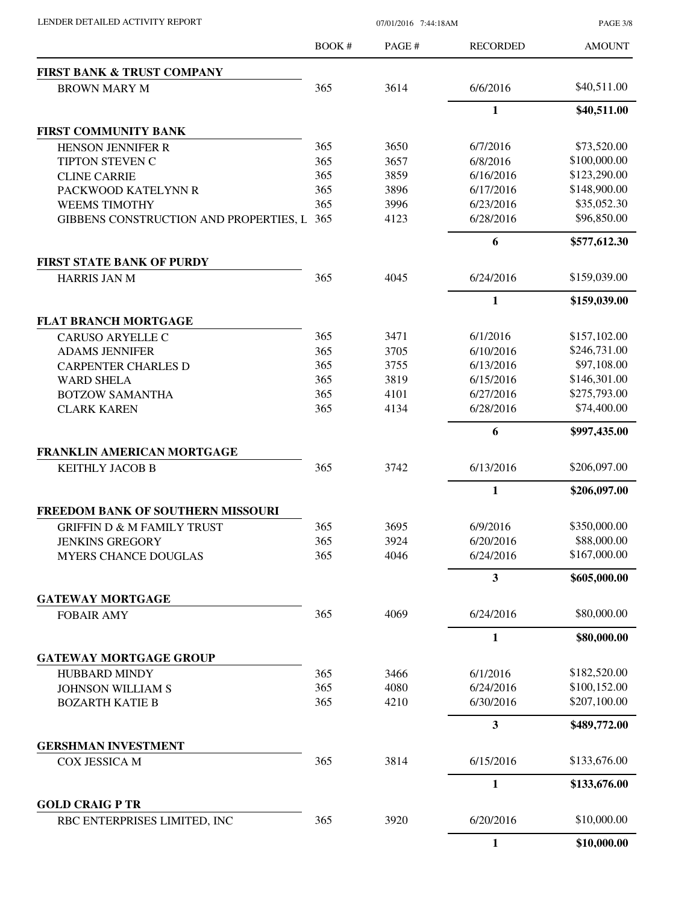PAGE 3/8

|                                                        | <b>BOOK#</b> | PAGE# | <b>RECORDED</b>         | <b>AMOUNT</b> |
|--------------------------------------------------------|--------------|-------|-------------------------|---------------|
| <b>FIRST BANK &amp; TRUST COMPANY</b>                  |              |       |                         |               |
| <b>BROWN MARY M</b>                                    | 365          | 3614  | 6/6/2016                | \$40,511.00   |
|                                                        |              |       | $\mathbf{1}$            | \$40,511.00   |
| <b>FIRST COMMUNITY BANK</b>                            |              |       |                         |               |
| <b>HENSON JENNIFER R</b>                               | 365          | 3650  | 6/7/2016                | \$73,520.00   |
| <b>TIPTON STEVEN C</b>                                 | 365          | 3657  | 6/8/2016                | \$100,000.00  |
| <b>CLINE CARRIE</b>                                    | 365          | 3859  | 6/16/2016               | \$123,290.00  |
| PACKWOOD KATELYNN R                                    | 365          | 3896  | 6/17/2016               | \$148,900.00  |
| <b>WEEMS TIMOTHY</b>                                   | 365          | 3996  | 6/23/2016               | \$35,052.30   |
| GIBBENS CONSTRUCTION AND PROPERTIES, L                 | 365          | 4123  | 6/28/2016               | \$96,850.00   |
|                                                        |              |       | 6                       | \$577,612.30  |
| <b>FIRST STATE BANK OF PURDY</b>                       |              |       |                         |               |
| <b>HARRIS JAN M</b>                                    | 365          | 4045  | 6/24/2016               | \$159,039.00  |
|                                                        |              |       | $\mathbf{1}$            | \$159,039.00  |
| <b>FLAT BRANCH MORTGAGE</b>                            |              |       |                         |               |
| <b>CARUSO ARYELLE C</b>                                | 365          | 3471  | 6/1/2016                | \$157,102.00  |
| <b>ADAMS JENNIFER</b>                                  | 365          | 3705  | 6/10/2016               | \$246,731.00  |
| <b>CARPENTER CHARLES D</b>                             | 365          | 3755  | 6/13/2016               | \$97,108.00   |
| <b>WARD SHELA</b>                                      | 365          | 3819  | 6/15/2016               | \$146,301.00  |
| <b>BOTZOW SAMANTHA</b>                                 | 365          | 4101  | 6/27/2016               | \$275,793.00  |
| <b>CLARK KAREN</b>                                     | 365          | 4134  | 6/28/2016               | \$74,400.00   |
|                                                        |              |       | 6                       | \$997,435.00  |
| FRANKLIN AMERICAN MORTGAGE                             |              |       |                         |               |
| KEITHLY JACOB B                                        | 365          | 3742  | 6/13/2016               | \$206,097.00  |
|                                                        |              |       | 1                       | \$206,097.00  |
| FREEDOM BANK OF SOUTHERN MISSOURI                      |              |       |                         |               |
| <b>GRIFFIN D &amp; M FAMILY TRUST</b>                  | 365          | 3695  | 6/9/2016                | \$350,000.00  |
| <b>JENKINS GREGORY</b>                                 | 365          | 3924  | 6/20/2016               | \$88,000.00   |
| <b>MYERS CHANCE DOUGLAS</b>                            | 365          | 4046  | 6/24/2016               | \$167,000.00  |
|                                                        |              |       | $\overline{\mathbf{3}}$ | \$605,000.00  |
| <b>GATEWAY MORTGAGE</b>                                |              |       |                         |               |
| <b>FOBAIR AMY</b>                                      | 365          | 4069  | 6/24/2016               | \$80,000.00   |
|                                                        |              |       | 1                       | \$80,000.00   |
| <b>GATEWAY MORTGAGE GROUP</b>                          |              |       |                         |               |
| HUBBARD MINDY                                          | 365          | 3466  | 6/1/2016                | \$182,520.00  |
| <b>JOHNSON WILLIAM S</b>                               | 365          | 4080  | 6/24/2016               | \$100,152.00  |
| <b>BOZARTH KATIE B</b>                                 | 365          | 4210  | 6/30/2016               | \$207,100.00  |
|                                                        |              |       | $\mathbf{3}$            | \$489,772.00  |
| <b>GERSHMAN INVESTMENT</b>                             |              |       |                         | \$133,676.00  |
| COX JESSICA M                                          | 365          | 3814  | 6/15/2016               |               |
|                                                        |              |       | $\mathbf{1}$            | \$133,676.00  |
| <b>GOLD CRAIG P TR</b><br>RBC ENTERPRISES LIMITED, INC | 365          | 3920  | 6/20/2016               | \$10,000.00   |
|                                                        |              |       |                         | \$10,000.00   |
|                                                        |              |       | $\mathbf{1}$            |               |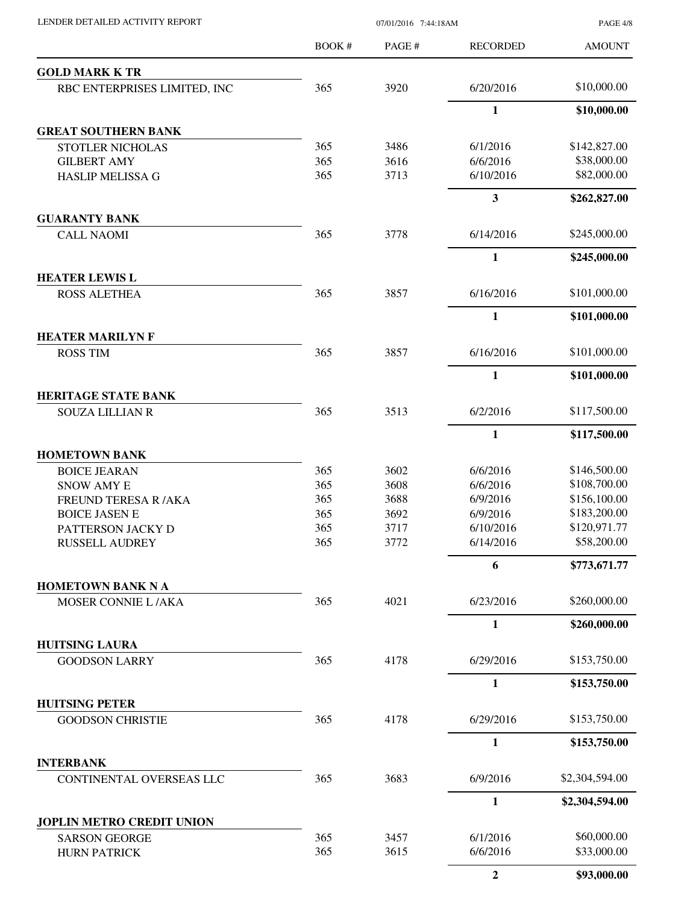|                                                       | BOOK #     | PAGE#        | <b>RECORDED</b>      | <b>AMOUNT</b>              |
|-------------------------------------------------------|------------|--------------|----------------------|----------------------------|
| <b>GOLD MARK K TR</b>                                 |            |              |                      |                            |
| RBC ENTERPRISES LIMITED, INC                          | 365        | 3920         | 6/20/2016            | \$10,000.00                |
|                                                       |            |              | $\mathbf{1}$         | \$10,000.00                |
| <b>GREAT SOUTHERN BANK</b>                            |            |              |                      |                            |
| STOTLER NICHOLAS                                      | 365        | 3486         | 6/1/2016             | \$142,827.00               |
| <b>GILBERT AMY</b>                                    | 365        | 3616         | 6/6/2016             | \$38,000.00                |
| <b>HASLIP MELISSA G</b>                               | 365        | 3713         | 6/10/2016            | \$82,000.00                |
|                                                       |            |              | 3                    | \$262,827.00               |
| <b>GUARANTY BANK</b>                                  |            |              |                      |                            |
| <b>CALL NAOMI</b>                                     | 365        | 3778         | 6/14/2016            | \$245,000.00               |
|                                                       |            |              | 1                    | \$245,000.00               |
| <b>HEATER LEWIS L</b>                                 |            |              |                      |                            |
| <b>ROSS ALETHEA</b>                                   | 365        | 3857         | 6/16/2016            | \$101,000.00               |
|                                                       |            |              | $\mathbf{1}$         | \$101,000.00               |
| <b>HEATER MARILYN F</b><br><b>ROSS TIM</b>            | 365        | 3857         | 6/16/2016            | \$101,000.00               |
|                                                       |            |              | 1                    | \$101,000.00               |
| <b>HERITAGE STATE BANK</b>                            |            |              |                      |                            |
| <b>SOUZA LILLIAN R</b>                                | 365        | 3513         | 6/2/2016             | \$117,500.00               |
|                                                       |            |              | $\mathbf{1}$         | \$117,500.00               |
| <b>HOMETOWN BANK</b>                                  |            |              |                      |                            |
| <b>BOICE JEARAN</b>                                   | 365        | 3602         | 6/6/2016             | \$146,500.00               |
| <b>SNOW AMY E</b>                                     | 365        | 3608         | 6/6/2016             | \$108,700.00               |
| <b>FREUND TERESA R/AKA</b>                            | 365        | 3688         | 6/9/2016             | \$156,100.00               |
| <b>BOICE JASEN E</b>                                  | 365        | 3692         | 6/9/2016             | \$183,200.00               |
| PATTERSON JACKY D                                     | 365        | 3717         | 6/10/2016            | \$120,971.77               |
| RUSSELL AUDREY                                        | 365        | 3772         | 6/14/2016            | \$58,200.00                |
|                                                       |            |              | 6                    | \$773,671.77               |
| <b>HOMETOWN BANK N A</b><br><b>MOSER CONNIE L/AKA</b> | 365        | 4021         | 6/23/2016            | \$260,000.00               |
|                                                       |            |              | $\mathbf{1}$         | \$260,000.00               |
| <b>HUITSING LAURA</b>                                 |            |              |                      |                            |
| <b>GOODSON LARRY</b>                                  | 365        | 4178         | 6/29/2016            | \$153,750.00               |
|                                                       |            |              | 1                    | \$153,750.00               |
| <b>HUITSING PETER</b>                                 |            |              |                      |                            |
| <b>GOODSON CHRISTIE</b>                               | 365        | 4178         | 6/29/2016            | \$153,750.00               |
|                                                       |            |              | 1                    | \$153,750.00               |
| <b>INTERBANK</b>                                      |            |              |                      |                            |
| CONTINENTAL OVERSEAS LLC                              | 365        | 3683         | 6/9/2016             | \$2,304,594.00             |
|                                                       |            |              | $\mathbf{1}$         | \$2,304,594.00             |
| <b>JOPLIN METRO CREDIT UNION</b>                      |            |              |                      |                            |
| <b>SARSON GEORGE</b><br><b>HURN PATRICK</b>           | 365<br>365 | 3457<br>3615 | 6/1/2016<br>6/6/2016 | \$60,000.00<br>\$33,000.00 |
|                                                       |            |              |                      |                            |
|                                                       |            |              | $\overline{2}$       | \$93,000.00                |

LENDER DETAILED ACTIVITY REPORT 07/01/2016 7:44:18AM

PAGE 4/8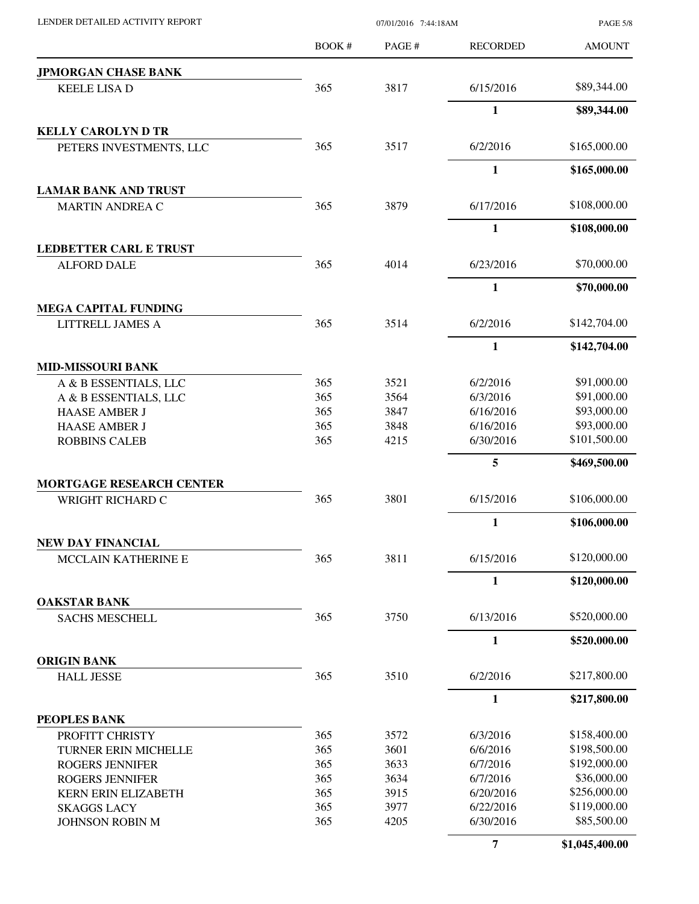| LENDER DETAILED ACTIVITY REPORT                       |       | 07/01/2016 7:44:18AM |                 |                              |
|-------------------------------------------------------|-------|----------------------|-----------------|------------------------------|
|                                                       | BOOK# | PAGE#                | <b>RECORDED</b> | <b>AMOUNT</b>                |
| <b>JPMORGAN CHASE BANK</b>                            |       |                      |                 |                              |
| <b>KEELE LISA D</b>                                   | 365   | 3817                 | 6/15/2016       | \$89,344.00                  |
|                                                       |       |                      | $\mathbf{1}$    | \$89,344.00                  |
| <b>KELLY CAROLYN D TR</b>                             |       |                      |                 |                              |
| PETERS INVESTMENTS, LLC                               | 365   | 3517                 | 6/2/2016        | \$165,000.00                 |
|                                                       |       |                      | $\mathbf{1}$    | \$165,000.00                 |
| <b>LAMAR BANK AND TRUST</b><br><b>MARTIN ANDREA C</b> | 365   | 3879                 | 6/17/2016       | \$108,000.00                 |
|                                                       |       |                      | $\mathbf{1}$    | \$108,000.00                 |
| <b>LEDBETTER CARL E TRUST</b>                         |       |                      |                 |                              |
| <b>ALFORD DALE</b>                                    | 365   | 4014                 | 6/23/2016       | \$70,000.00                  |
|                                                       |       |                      | $\mathbf{1}$    | \$70,000.00                  |
| <b>MEGA CAPITAL FUNDING</b>                           |       |                      |                 |                              |
| LITTRELL JAMES A                                      | 365   | 3514                 | 6/2/2016        | \$142,704.00                 |
|                                                       |       |                      | 1               | \$142,704.00                 |
| <b>MID-MISSOURI BANK</b><br>A & B ESSENTIALS, LLC     | 365   | 3521                 | 6/2/2016        | \$91,000.00                  |
| A & B ESSENTIALS, LLC                                 | 365   | 3564                 | 6/3/2016        | \$91,000.00                  |
| <b>HAASE AMBER J</b>                                  | 365   | 3847                 | 6/16/2016       | \$93,000.00                  |
| <b>HAASE AMBER J</b>                                  | 365   | 3848                 | 6/16/2016       | \$93,000.00                  |
| <b>ROBBINS CALEB</b>                                  | 365   | 4215                 | 6/30/2016       | \$101,500.00                 |
|                                                       |       |                      | 5               | \$469,500.00                 |
| <b>MORTGAGE RESEARCH CENTER</b><br>WRIGHT RICHARD C   | 365   | 3801                 | 6/15/2016       | \$106,000.00                 |
|                                                       |       |                      | 1               | \$106,000.00                 |
| NEW DAY FINANCIAL                                     |       |                      |                 |                              |
| MCCLAIN KATHERINE E                                   | 365   | 3811                 | 6/15/2016       | \$120,000.00                 |
|                                                       |       |                      | $\mathbf{1}$    | \$120,000.00                 |
| <b>OAKSTAR BANK</b>                                   |       |                      |                 |                              |
| <b>SACHS MESCHELL</b>                                 | 365   | 3750                 | 6/13/2016       | \$520,000.00<br>\$520,000.00 |
| <b>ORIGIN BANK</b>                                    |       |                      | 1               |                              |
| <b>HALL JESSE</b>                                     | 365   | 3510                 | 6/2/2016        | \$217,800.00                 |
|                                                       |       |                      | $\mathbf{1}$    | \$217,800.00                 |
| PEOPLES BANK                                          |       |                      |                 |                              |
| PROFITT CHRISTY                                       | 365   | 3572                 | 6/3/2016        | \$158,400.00                 |
| TURNER ERIN MICHELLE                                  | 365   | 3601                 | 6/6/2016        | \$198,500.00                 |
| <b>ROGERS JENNIFER</b>                                | 365   | 3633                 | 6/7/2016        | \$192,000.00                 |
| <b>ROGERS JENNIFER</b>                                | 365   | 3634                 | 6/7/2016        | \$36,000.00                  |
| <b>KERN ERIN ELIZABETH</b>                            | 365   | 3915                 | 6/20/2016       | \$256,000.00                 |
| <b>SKAGGS LACY</b>                                    | 365   | 3977                 | 6/22/2016       | \$119,000.00                 |
| <b>JOHNSON ROBIN M</b>                                | 365   | 4205                 | 6/30/2016       | \$85,500.00                  |
|                                                       |       |                      | $\overline{7}$  | \$1,045,400.00               |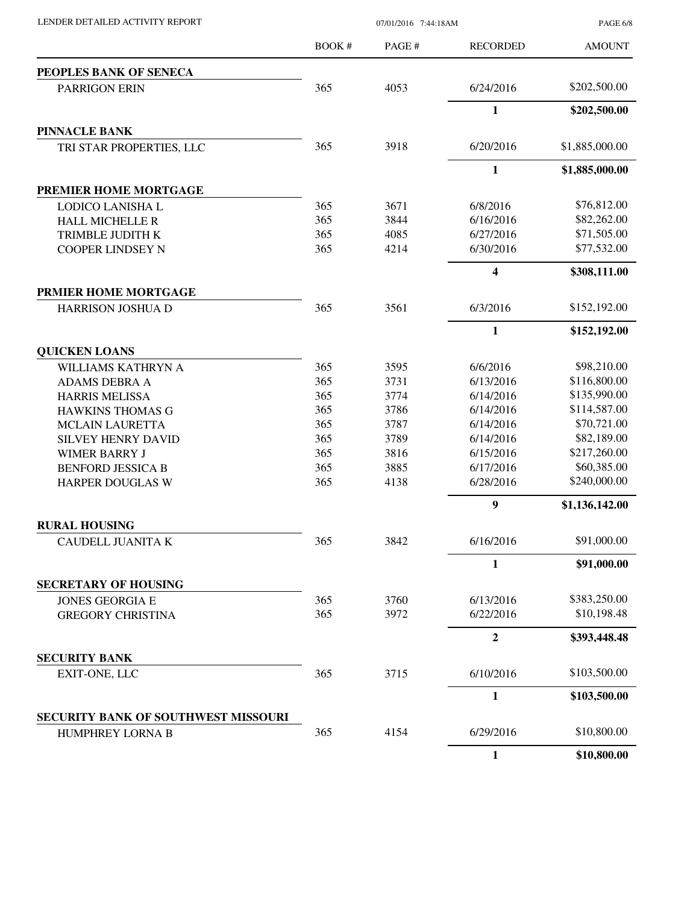LENDER DETAILED ACTIVITY REPORT 07/01/2016 7:44:18AM

PAGE 6/8

|                                                                | <b>BOOK#</b> | PAGE# | <b>RECORDED</b>         | <b>AMOUNT</b>  |
|----------------------------------------------------------------|--------------|-------|-------------------------|----------------|
| PEOPLES BANK OF SENECA                                         |              |       |                         |                |
| <b>PARRIGON ERIN</b>                                           | 365          | 4053  | 6/24/2016               | \$202,500.00   |
|                                                                |              |       | $\mathbf{1}$            | \$202,500.00   |
| <b>PINNACLE BANK</b>                                           |              |       |                         |                |
| TRI STAR PROPERTIES, LLC                                       | 365          | 3918  | 6/20/2016               | \$1,885,000.00 |
|                                                                |              |       | $\mathbf{1}$            | \$1,885,000.00 |
| PREMIER HOME MORTGAGE                                          |              |       |                         |                |
| LODICO LANISHA L                                               | 365          | 3671  | 6/8/2016                | \$76,812.00    |
| <b>HALL MICHELLE R</b>                                         | 365          | 3844  | 6/16/2016               | \$82,262.00    |
| TRIMBLE JUDITH K                                               | 365          | 4085  | 6/27/2016               | \$71,505.00    |
| <b>COOPER LINDSEY N</b>                                        | 365          | 4214  | 6/30/2016               | \$77,532.00    |
|                                                                |              |       | $\overline{\mathbf{4}}$ | \$308,111.00   |
| PRMIER HOME MORTGAGE                                           |              |       |                         |                |
| <b>HARRISON JOSHUA D</b>                                       | 365          | 3561  | 6/3/2016                | \$152,192.00   |
|                                                                |              |       | $\mathbf{1}$            | \$152,192.00   |
| <b>QUICKEN LOANS</b>                                           |              |       |                         |                |
| WILLIAMS KATHRYN A                                             | 365          | 3595  | 6/6/2016                | \$98,210.00    |
| <b>ADAMS DEBRA A</b>                                           | 365          | 3731  | 6/13/2016               | \$116,800.00   |
| <b>HARRIS MELISSA</b>                                          | 365          | 3774  | 6/14/2016               | \$135,990.00   |
| <b>HAWKINS THOMAS G</b>                                        | 365          | 3786  | 6/14/2016               | \$114,587.00   |
| <b>MCLAIN LAURETTA</b>                                         | 365          | 3787  | 6/14/2016               | \$70,721.00    |
| <b>SILVEY HENRY DAVID</b>                                      | 365          | 3789  | 6/14/2016               | \$82,189.00    |
| <b>WIMER BARRY J</b>                                           | 365          | 3816  | 6/15/2016               | \$217,260.00   |
| <b>BENFORD JESSICA B</b>                                       | 365          | 3885  | 6/17/2016               | \$60,385.00    |
| HARPER DOUGLAS W                                               | 365          | 4138  | 6/28/2016               | \$240,000.00   |
|                                                                |              |       | $\boldsymbol{9}$        | \$1,136,142.00 |
| <b>RURAL HOUSING</b>                                           |              |       |                         |                |
| CAUDELL JUANITA K                                              | 365          | 3842  | 6/16/2016               | \$91,000.00    |
|                                                                |              |       | 1                       | \$91,000.00    |
| <b>SECRETARY OF HOUSING</b>                                    |              |       |                         |                |
| <b>JONES GEORGIA E</b>                                         | 365          | 3760  | 6/13/2016               | \$383,250.00   |
| <b>GREGORY CHRISTINA</b>                                       | 365          | 3972  | 6/22/2016               | \$10,198.48    |
|                                                                |              |       | $\boldsymbol{2}$        | \$393,448.48   |
| <b>SECURITY BANK</b>                                           |              |       |                         |                |
| EXIT-ONE, LLC                                                  | 365          | 3715  | 6/10/2016               | \$103,500.00   |
|                                                                |              |       | $\mathbf{1}$            | \$103,500.00   |
| <b>SECURITY BANK OF SOUTHWEST MISSOURI</b><br>HUMPHREY LORNA B | 365          | 4154  | 6/29/2016               | \$10,800.00    |
|                                                                |              |       |                         |                |
|                                                                |              |       | 1                       | \$10,800.00    |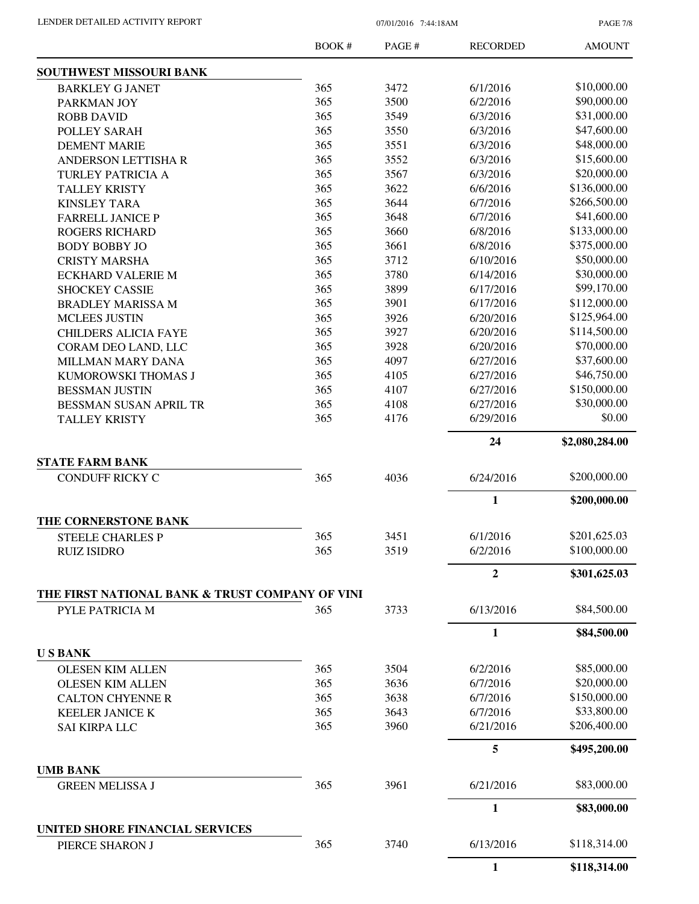PAGE 7/8

|                                                 | <b>BOOK#</b> | PAGE# | <b>RECORDED</b> | <b>AMOUNT</b>  |
|-------------------------------------------------|--------------|-------|-----------------|----------------|
| <b>SOUTHWEST MISSOURI BANK</b>                  |              |       |                 |                |
| <b>BARKLEY G JANET</b>                          | 365          | 3472  | 6/1/2016        | \$10,000.00    |
| PARKMAN JOY                                     | 365          | 3500  | 6/2/2016        | \$90,000.00    |
| <b>ROBB DAVID</b>                               | 365          | 3549  | 6/3/2016        | \$31,000.00    |
| POLLEY SARAH                                    | 365          | 3550  | 6/3/2016        | \$47,600.00    |
| <b>DEMENT MARIE</b>                             | 365          | 3551  | 6/3/2016        | \$48,000.00    |
| <b>ANDERSON LETTISHA R</b>                      | 365          | 3552  | 6/3/2016        | \$15,600.00    |
| TURLEY PATRICIA A                               | 365          | 3567  | 6/3/2016        | \$20,000.00    |
| <b>TALLEY KRISTY</b>                            | 365          | 3622  | 6/6/2016        | \$136,000.00   |
| <b>KINSLEY TARA</b>                             | 365          | 3644  | 6/7/2016        | \$266,500.00   |
| <b>FARRELL JANICE P</b>                         | 365          | 3648  | 6/7/2016        | \$41,600.00    |
| <b>ROGERS RICHARD</b>                           | 365          | 3660  | 6/8/2016        | \$133,000.00   |
| <b>BODY BOBBY JO</b>                            | 365          | 3661  | 6/8/2016        | \$375,000.00   |
| <b>CRISTY MARSHA</b>                            | 365          | 3712  | 6/10/2016       | \$50,000.00    |
| <b>ECKHARD VALERIE M</b>                        | 365          | 3780  | 6/14/2016       | \$30,000.00    |
| <b>SHOCKEY CASSIE</b>                           | 365          | 3899  | 6/17/2016       | \$99,170.00    |
| <b>BRADLEY MARISSA M</b>                        | 365          | 3901  | 6/17/2016       | \$112,000.00   |
|                                                 | 365          | 3926  | 6/20/2016       | \$125,964.00   |
| <b>MCLEES JUSTIN</b>                            |              |       |                 |                |
| <b>CHILDERS ALICIA FAYE</b>                     | 365          | 3927  | 6/20/2016       | \$114,500.00   |
| CORAM DEO LAND, LLC                             | 365          | 3928  | 6/20/2016       | \$70,000.00    |
| MILLMAN MARY DANA                               | 365          | 4097  | 6/27/2016       | \$37,600.00    |
| KUMOROWSKI THOMAS J                             | 365          | 4105  | 6/27/2016       | \$46,750.00    |
| <b>BESSMAN JUSTIN</b>                           | 365          | 4107  | 6/27/2016       | \$150,000.00   |
| <b>BESSMAN SUSAN APRIL TR</b>                   | 365          | 4108  | 6/27/2016       | \$30,000.00    |
| <b>TALLEY KRISTY</b>                            | 365          | 4176  | 6/29/2016       | \$0.00         |
|                                                 |              |       | 24              | \$2,080,284.00 |
| <b>STATE FARM BANK</b>                          |              |       |                 |                |
| <b>CONDUFF RICKY C</b>                          | 365          | 4036  | 6/24/2016       | \$200,000.00   |
|                                                 |              |       | $\mathbf{1}$    | \$200,000.00   |
| THE CORNERSTONE BANK                            |              |       |                 |                |
| <b>STEELE CHARLES P</b>                         | 365          | 3451  | 6/1/2016        | \$201,625.03   |
| <b>RUIZ ISIDRO</b>                              | 365          | 3519  | 6/2/2016        | \$100,000.00   |
|                                                 |              |       | 2               | \$301,625.03   |
| THE FIRST NATIONAL BANK & TRUST COMPANY OF VINI |              |       |                 |                |
| PYLE PATRICIA M                                 | 365          | 3733  | 6/13/2016       | \$84,500.00    |
|                                                 |              |       | 1               | \$84,500.00    |
| <b>USBANK</b><br><b>OLESEN KIM ALLEN</b>        | 365          | 3504  | 6/2/2016        | \$85,000.00    |
|                                                 |              |       |                 | \$20,000.00    |
| <b>OLESEN KIM ALLEN</b>                         | 365          | 3636  | 6/7/2016        |                |
| <b>CALTON CHYENNE R</b>                         | 365          | 3638  | 6/7/2016        | \$150,000.00   |
| <b>KEELER JANICE K</b>                          | 365          | 3643  | 6/7/2016        | \$33,800.00    |
| <b>SAI KIRPA LLC</b>                            | 365          | 3960  | 6/21/2016       | \$206,400.00   |
|                                                 |              |       | 5               | \$495,200.00   |
| <b>UMB BANK</b>                                 |              |       |                 |                |
| <b>GREEN MELISSA J</b>                          | 365          | 3961  | 6/21/2016       | \$83,000.00    |
|                                                 |              |       | $\mathbf{1}$    | \$83,000.00    |
| UNITED SHORE FINANCIAL SERVICES                 | 365          | 3740  | 6/13/2016       | \$118,314.00   |
| PIERCE SHARON J                                 |              |       |                 |                |
|                                                 |              |       | 1               | \$118,314.00   |